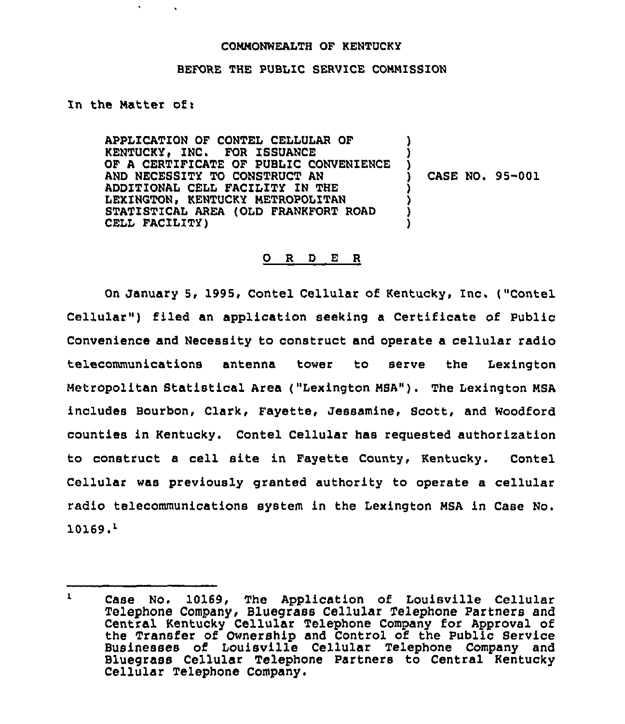## COMMONWEALTH OF KENTUCKY

## BEFORE THE PUBLIC SERUICE COMMISSION

In the Matter of i

APPLICATION OF CONTEL CELLULAR OF KENTUCKY, INC. FOR ISSUANCE OF A CERTIFICATE OF PUBLIC CONVENIENCE AND NECESSITY TO CONSTRUCT AN ADDIT10NAL CELL FACILITY IN THE LEXINGTON, KENTUCKY METROPOLITAN STATISTICAL AREA (OLD FRANKFORT ROAD CELL FACILITY) ) ) ) ) ) ) )

CASE NO. 95-001

## 0 <sup>R</sup> <sup>D</sup> E <sup>R</sup>

On January 5, 1995, Contel Cellular of Kentucky, Inc. ("Contel Cellular") filed an application seeking a Certificate of Public Convenience and Necessity to construct and operate a cellular radio telecommunications antenna tower to serve the Lexington Metropolitan Statistical Area ("Lexington MSA"). The Lexington MSA includes Bourbon, Clark, Fayette, Jessamine, Scott, and Woodford counties in Kentucky. Contel Cellular has requested authorization to construct a cell site in Fayette County, Kentucky. Contel Cellular was previously granted authority to operate a cellular radio telecommunications system in the Lexington MSA in Case No.  $10169.^1$ 

 $\mathbf{1}$ Case No. 10169, The Application of Louisville Cellular Telephone Company, Bluegrass Cellular Telephone Partners and Central Kentucky Cellular Telephone Company for Approval of the Transfer of Ownership and Control of the Public Service Businesses of Louisville Cellular Telephone Company and Bluegrass Cellular Telephone Partners to Central Kentucky Cellular Telephone Company.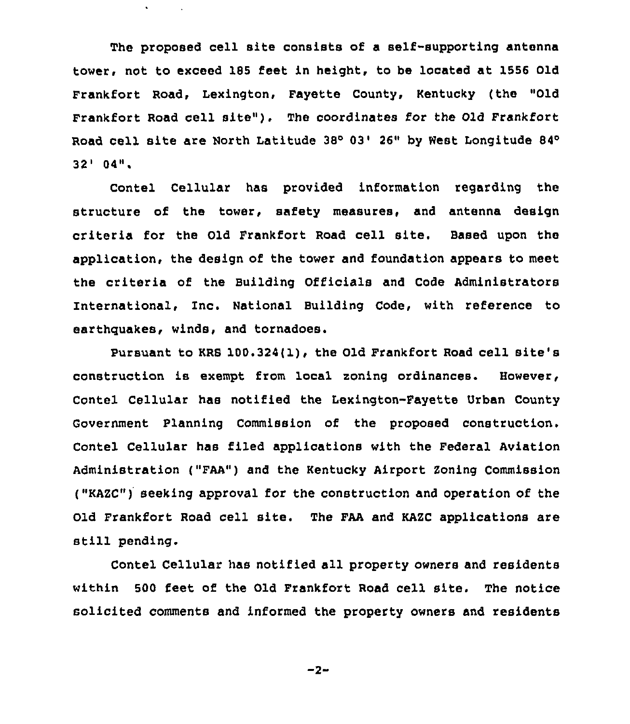The proposed cell site consists of a self-supporting antenna tower, not to exceed 185 feet in height, to be located at 1556 Old Frankfort Road, Lexington, Fayette County, Kentucky (the "Old Frankfort Road cell site"), The coordinates for the Old Frankfort Road cell site are North Latitude 38° 03' 26" by West Longitude 84°  $^{\prime}$  04".

 $\bullet$  .

Contel Cellular has provided information regarding the structure of the tower, safety measures, and antenna design criteria for the Old Frankfort Road cell site. Based upon the application, the design of the tower and foundation appears to meet the criteria of the Building Officials and Code Administrators International, Inc. National Building Code, with reference to earthquakes, winds, and tornadoes.

Pursuant to KRS 100.324(1), the Old Frankfort Road cell site's construction is exempt from local zoning ordinances. However, Contel Cellular has notified the Lexington-Fayette Urban County Government Planning Commission of the proposed construction. Contel Cellular has filed applications with the Federal Aviation Administration ("FAA") and the Kentucky Airport Zoning Commission ("KAZC") seeking approval for the construction and operation of the Old Frankfort Road cell site. The FAA and KAZC applications are still pending.

Contel Cellular has notified all property owners and residents within 500 feet of the Old Frankfort Road cell site. The notice solicited comments and informed the property owners and residents

 $-2-$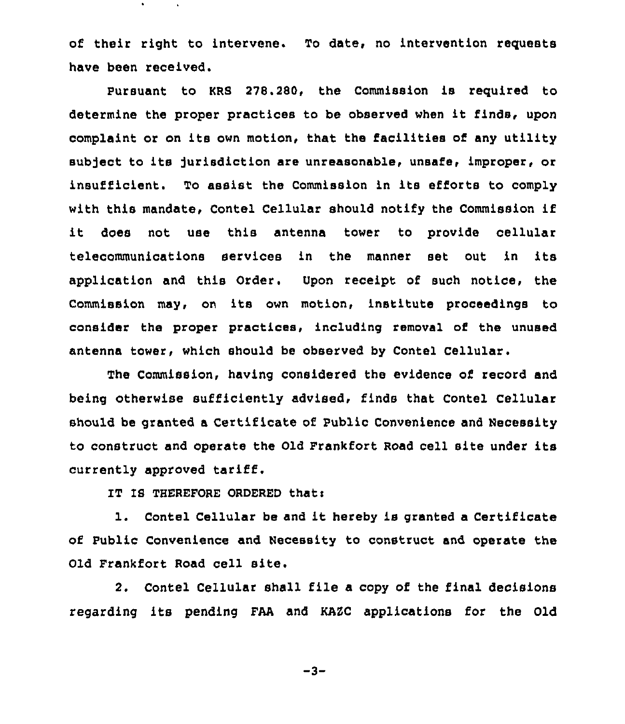of their right to intervene. To date, no intervention requests have been received.

Pursuant to KRS 278.280, the Commission is required to determine the proper practices to be observed when it finds, upon complaint or on its own motion, that the facilities of any utility subject to its jurisdiction are unreasonable, unsafe, improper, or insufficient. To assist the Commission in its efforts to comply with this mandate, Contel Cellular should notify the Commission if it does not use this antenna tower to provide cellular telecommunications services in the manner set out in its application and this Order. Upon receipt of such notice, the Commission may, on its own motion, institute proceedings to consider the proper practices, including removal of the unused antenna tower, which should be observed by Contel Cellular.

The Commission, having considered the evidence of record and being otherwise sufficiently advised< finds that Contel Cellular should be granted a Certificate of Public Convenience and Necessity to construct and operate the Old Frankfort Road cell site under its currently approved tariff.

IT IS THEREFORE ORDERED that:

1. Contel Cellular be and it hereby is granted <sup>a</sup> Certificate of Public Convenience and Necessity to construct and operate the Old Frankfort Road cell site.

2. Contel Cellular shall file a copy of the final decisions regarding its pending FAA and KAZC applications for the Old

 $-3-$